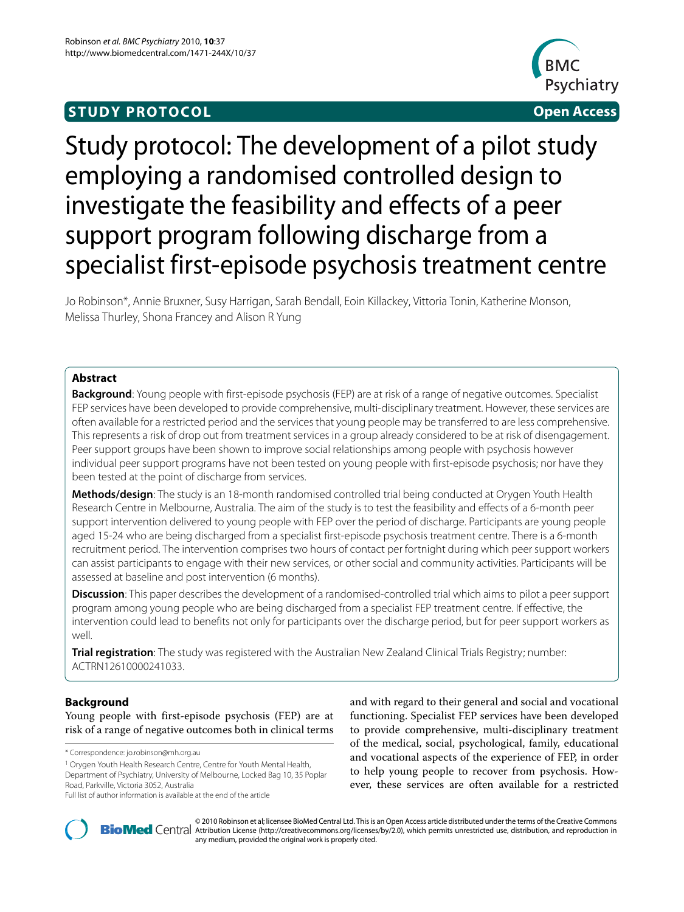# **STUDY PROTOCOL Open Access**



# Study protocol: The development of a pilot study employing a randomised controlled design to investigate the feasibility and effects of a peer support program following discharge from a specialist first-episode psychosis treatment centre

Jo Robinson\*, Annie Bruxner, Susy Harrigan, Sarah Bendall, Eoin Killackey, Vittoria Tonin, Katherine Monson, Melissa Thurley, Shona Francey and Alison R Yung

# **Abstract**

**Background**: Young people with first-episode psychosis (FEP) are at risk of a range of negative outcomes. Specialist FEP services have been developed to provide comprehensive, multi-disciplinary treatment. However, these services are often available for a restricted period and the services that young people may be transferred to are less comprehensive. This represents a risk of drop out from treatment services in a group already considered to be at risk of disengagement. Peer support groups have been shown to improve social relationships among people with psychosis however individual peer support programs have not been tested on young people with first-episode psychosis; nor have they been tested at the point of discharge from services.

**Methods/design:** The study is an 18-month randomised controlled trial being conducted at Orygen Youth Health Research Centre in Melbourne, Australia. The aim of the study is to test the feasibility and effects of a 6-month peer support intervention delivered to young people with FEP over the period of discharge. Participants are young people aged 15-24 who are being discharged from a specialist first-episode psychosis treatment centre. There is a 6-month recruitment period. The intervention comprises two hours of contact per fortnight during which peer support workers can assist participants to engage with their new services, or other social and community activities. Participants will be assessed at baseline and post intervention (6 months).

**Discussion**: This paper describes the development of a randomised-controlled trial which aims to pilot a peer support program among young people who are being discharged from a specialist FEP treatment centre. If effective, the intervention could lead to benefits not only for participants over the discharge period, but for peer support workers as well.

**Trial registration**: The study was registered with the Australian New Zealand Clinical Trials Registry; number: ACTRN12610000241033.

# **Background**

Young people with first-episode psychosis (FEP) are at risk of a range of negative outcomes both in clinical terms

1 Orygen Youth Health Research Centre, Centre for Youth Mental Health, Department of Psychiatry, University of Melbourne, Locked Bag 10, 35 Poplar Road, Parkville, Victoria 3052, Australia

and with regard to their general and social and vocational functioning. Specialist FEP services have been developed to provide comprehensive, multi-disciplinary treatment of the medical, social, psychological, family, educational and vocational aspects of the experience of FEP, in order to help young people to recover from psychosis. However, these services are often available for a restricted



2010 Robinson et al; licensee BioMed Central Ltd. This is an Open Access article distributed under the terms of the Creative Commons (http://creativecommons.org/licenses/by/2.0), which permits unrestricted use, distributio any medium, provided the original work is properly cited.

<sup>\*</sup> Correspondence: jo.robinson@mh.org.au

Full list of author information is available at the end of the article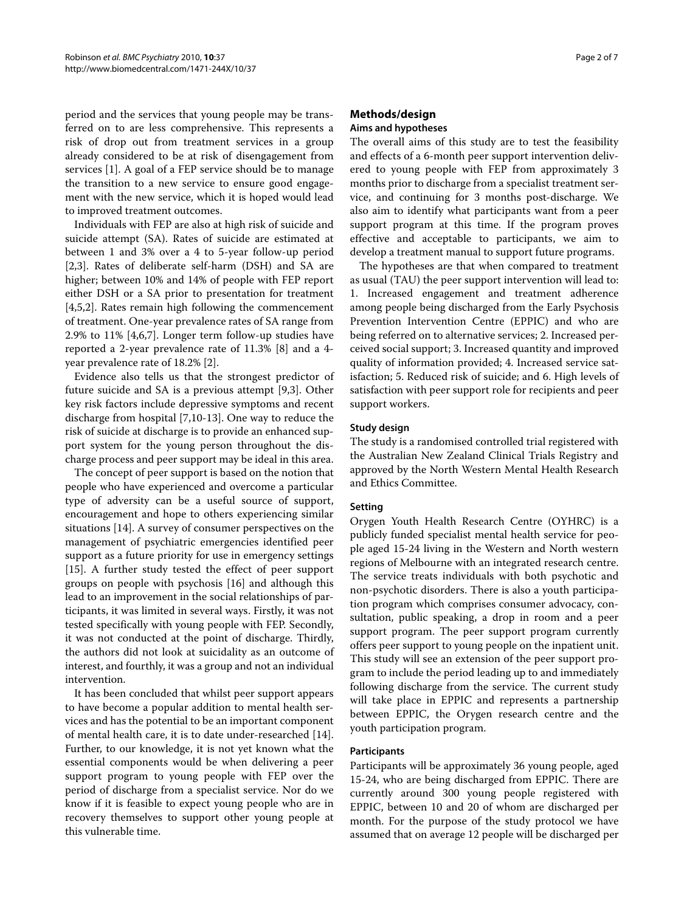period and the services that young people may be transferred on to are less comprehensive. This represents a risk of drop out from treatment services in a group already considered to be at risk of disengagement from services [1]. A goal of a FEP service should be to manage the transition to a new service to ensure good engagement with the new service, which it is hoped would lead to improved treatment outcomes.

Individuals with FEP are also at high risk of suicide and suicide attempt (SA). Rates of suicide are estimated at between 1 and 3% over a 4 to 5-year follow-up period [2,3]. Rates of deliberate self-harm (DSH) and SA are higher; between 10% and 14% of people with FEP report either DSH or a SA prior to presentation for treatment [4,5,2]. Rates remain high following the commencement of treatment. One-year prevalence rates of SA range from 2.9% to 11% [4,6,7]. Longer term follow-up studies have reported a 2-year prevalence rate of 11.3% [8] and a 4 year prevalence rate of 18.2% [2].

Evidence also tells us that the strongest predictor of future suicide and SA is a previous attempt [9,3]. Other key risk factors include depressive symptoms and recent discharge from hospital [7,10-13]. One way to reduce the risk of suicide at discharge is to provide an enhanced support system for the young person throughout the discharge process and peer support may be ideal in this area.

The concept of peer support is based on the notion that people who have experienced and overcome a particular type of adversity can be a useful source of support, encouragement and hope to others experiencing similar situations [14]. A survey of consumer perspectives on the management of psychiatric emergencies identified peer support as a future priority for use in emergency settings [15]. A further study tested the effect of peer support groups on people with psychosis [16] and although this lead to an improvement in the social relationships of participants, it was limited in several ways. Firstly, it was not tested specifically with young people with FEP. Secondly, it was not conducted at the point of discharge. Thirdly, the authors did not look at suicidality as an outcome of interest, and fourthly, it was a group and not an individual intervention.

It has been concluded that whilst peer support appears to have become a popular addition to mental health services and has the potential to be an important component of mental health care, it is to date under-researched [14]. Further, to our knowledge, it is not yet known what the essential components would be when delivering a peer support program to young people with FEP over the period of discharge from a specialist service. Nor do we know if it is feasible to expect young people who are in recovery themselves to support other young people at this vulnerable time.

## Page 2 of 7

# **Methods/design**

# **Aims and hypotheses**

The overall aims of this study are to test the feasibility and effects of a 6-month peer support intervention delivered to young people with FEP from approximately 3 months prior to discharge from a specialist treatment service, and continuing for 3 months post-discharge. We also aim to identify what participants want from a peer support program at this time. If the program proves effective and acceptable to participants, we aim to develop a treatment manual to support future programs.

The hypotheses are that when compared to treatment as usual (TAU) the peer support intervention will lead to: 1. Increased engagement and treatment adherence among people being discharged from the Early Psychosis Prevention Intervention Centre (EPPIC) and who are being referred on to alternative services; 2. Increased perceived social support; 3. Increased quantity and improved quality of information provided; 4. Increased service satisfaction; 5. Reduced risk of suicide; and 6. High levels of satisfaction with peer support role for recipients and peer support workers.

# **Study design**

The study is a randomised controlled trial registered with the Australian New Zealand Clinical Trials Registry and approved by the North Western Mental Health Research and Ethics Committee.

## **Setting**

Orygen Youth Health Research Centre (OYHRC) is a publicly funded specialist mental health service for people aged 15-24 living in the Western and North western regions of Melbourne with an integrated research centre. The service treats individuals with both psychotic and non-psychotic disorders. There is also a youth participation program which comprises consumer advocacy, consultation, public speaking, a drop in room and a peer support program. The peer support program currently offers peer support to young people on the inpatient unit. This study will see an extension of the peer support program to include the period leading up to and immediately following discharge from the service. The current study will take place in EPPIC and represents a partnership between EPPIC, the Orygen research centre and the youth participation program.

# **Participants**

Participants will be approximately 36 young people, aged 15-24, who are being discharged from EPPIC. There are currently around 300 young people registered with EPPIC, between 10 and 20 of whom are discharged per month. For the purpose of the study protocol we have assumed that on average 12 people will be discharged per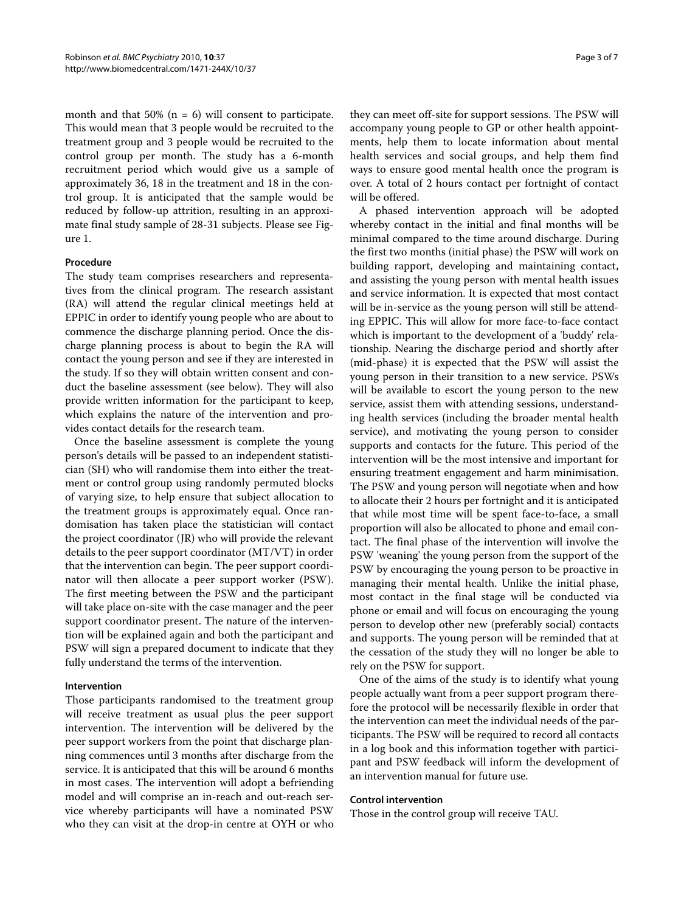month and that 50% ( $n = 6$ ) will consent to participate. This would mean that 3 people would be recruited to the treatment group and 3 people would be recruited to the control group per month. The study has a 6-month recruitment period which would give us a sample of approximately 36, 18 in the treatment and 18 in the control group. It is anticipated that the sample would be reduced by follow-up attrition, resulting in an approximate final study sample of 28-31 subjects. Please see Figure 1.

#### **Procedure**

The study team comprises researchers and representatives from the clinical program. The research assistant (RA) will attend the regular clinical meetings held at EPPIC in order to identify young people who are about to commence the discharge planning period. Once the discharge planning process is about to begin the RA will contact the young person and see if they are interested in the study. If so they will obtain written consent and conduct the baseline assessment (see below). They will also provide written information for the participant to keep, which explains the nature of the intervention and provides contact details for the research team.

Once the baseline assessment is complete the young person's details will be passed to an independent statistician (SH) who will randomise them into either the treatment or control group using randomly permuted blocks of varying size, to help ensure that subject allocation to the treatment groups is approximately equal. Once randomisation has taken place the statistician will contact the project coordinator (JR) who will provide the relevant details to the peer support coordinator (MT/VT) in order that the intervention can begin. The peer support coordinator will then allocate a peer support worker (PSW). The first meeting between the PSW and the participant will take place on-site with the case manager and the peer support coordinator present. The nature of the intervention will be explained again and both the participant and PSW will sign a prepared document to indicate that they fully understand the terms of the intervention.

#### **Intervention**

Those participants randomised to the treatment group will receive treatment as usual plus the peer support intervention. The intervention will be delivered by the peer support workers from the point that discharge planning commences until 3 months after discharge from the service. It is anticipated that this will be around 6 months in most cases. The intervention will adopt a befriending model and will comprise an in-reach and out-reach service whereby participants will have a nominated PSW who they can visit at the drop-in centre at OYH or who

they can meet off-site for support sessions. The PSW will accompany young people to GP or other health appointments, help them to locate information about mental health services and social groups, and help them find ways to ensure good mental health once the program is over. A total of 2 hours contact per fortnight of contact will be offered.

A phased intervention approach will be adopted whereby contact in the initial and final months will be minimal compared to the time around discharge. During the first two months (initial phase) the PSW will work on building rapport, developing and maintaining contact, and assisting the young person with mental health issues and service information. It is expected that most contact will be in-service as the young person will still be attending EPPIC. This will allow for more face-to-face contact which is important to the development of a 'buddy' relationship. Nearing the discharge period and shortly after (mid-phase) it is expected that the PSW will assist the young person in their transition to a new service. PSWs will be available to escort the young person to the new service, assist them with attending sessions, understanding health services (including the broader mental health service), and motivating the young person to consider supports and contacts for the future. This period of the intervention will be the most intensive and important for ensuring treatment engagement and harm minimisation. The PSW and young person will negotiate when and how to allocate their 2 hours per fortnight and it is anticipated that while most time will be spent face-to-face, a small proportion will also be allocated to phone and email contact. The final phase of the intervention will involve the PSW 'weaning' the young person from the support of the PSW by encouraging the young person to be proactive in managing their mental health. Unlike the initial phase, most contact in the final stage will be conducted via phone or email and will focus on encouraging the young person to develop other new (preferably social) contacts and supports. The young person will be reminded that at the cessation of the study they will no longer be able to rely on the PSW for support.

One of the aims of the study is to identify what young people actually want from a peer support program therefore the protocol will be necessarily flexible in order that the intervention can meet the individual needs of the participants. The PSW will be required to record all contacts in a log book and this information together with participant and PSW feedback will inform the development of an intervention manual for future use.

# **Control intervention**

Those in the control group will receive TAU.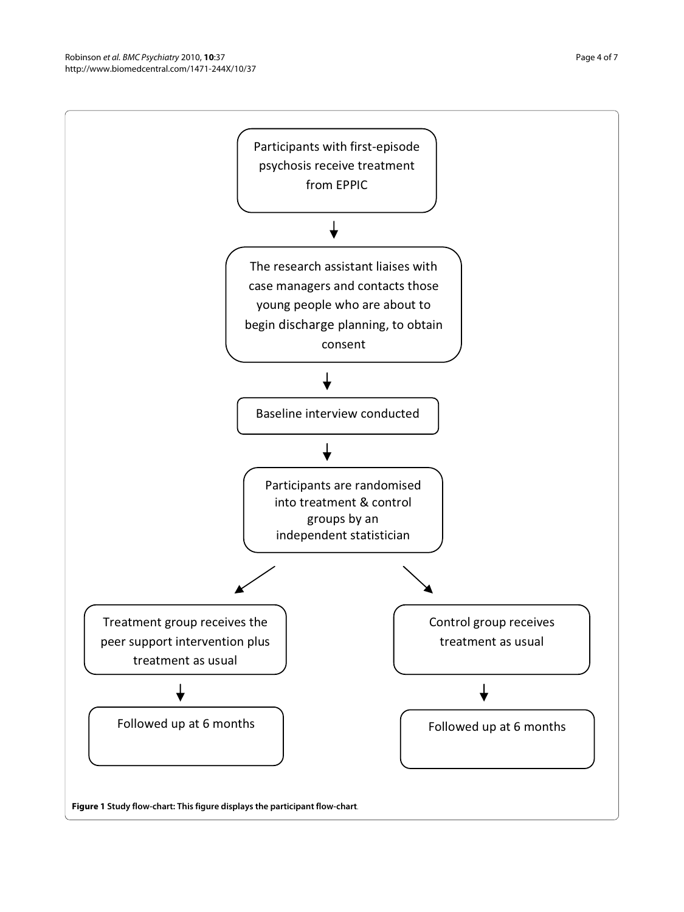

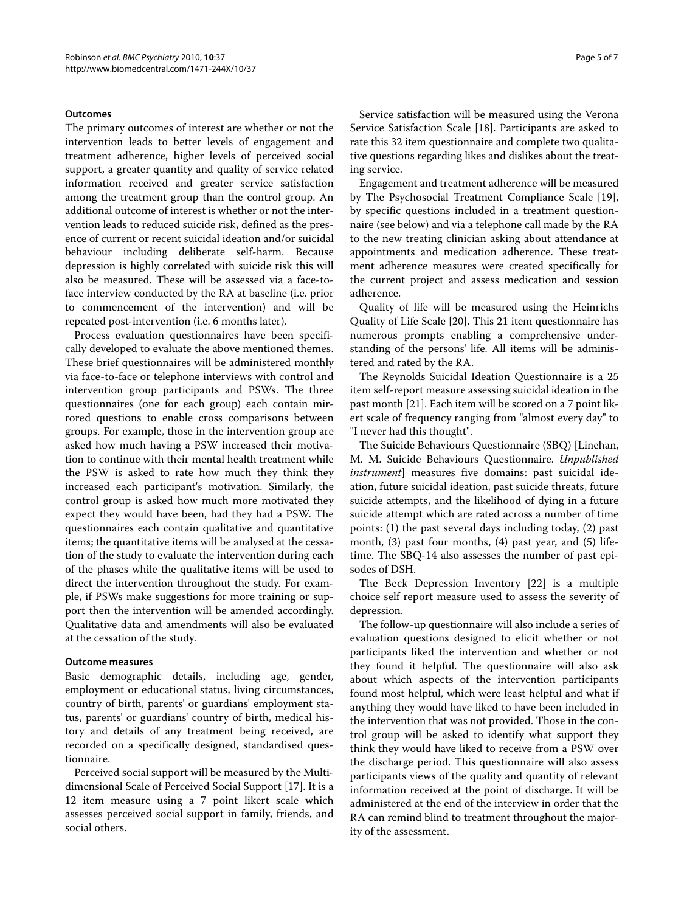## **Outcomes**

The primary outcomes of interest are whether or not the intervention leads to better levels of engagement and treatment adherence, higher levels of perceived social support, a greater quantity and quality of service related information received and greater service satisfaction among the treatment group than the control group. An additional outcome of interest is whether or not the intervention leads to reduced suicide risk, defined as the presence of current or recent suicidal ideation and/or suicidal behaviour including deliberate self-harm. Because depression is highly correlated with suicide risk this will also be measured. These will be assessed via a face-toface interview conducted by the RA at baseline (i.e. prior to commencement of the intervention) and will be repeated post-intervention (i.e. 6 months later).

Process evaluation questionnaires have been specifically developed to evaluate the above mentioned themes. These brief questionnaires will be administered monthly via face-to-face or telephone interviews with control and intervention group participants and PSWs. The three questionnaires (one for each group) each contain mirrored questions to enable cross comparisons between groups. For example, those in the intervention group are asked how much having a PSW increased their motivation to continue with their mental health treatment while the PSW is asked to rate how much they think they increased each participant's motivation. Similarly, the control group is asked how much more motivated they expect they would have been, had they had a PSW. The questionnaires each contain qualitative and quantitative items; the quantitative items will be analysed at the cessation of the study to evaluate the intervention during each of the phases while the qualitative items will be used to direct the intervention throughout the study. For example, if PSWs make suggestions for more training or support then the intervention will be amended accordingly. Qualitative data and amendments will also be evaluated at the cessation of the study.

#### **Outcome measures**

Basic demographic details, including age, gender, employment or educational status, living circumstances, country of birth, parents' or guardians' employment status, parents' or guardians' country of birth, medical history and details of any treatment being received, are recorded on a specifically designed, standardised questionnaire.

Perceived social support will be measured by the Multidimensional Scale of Perceived Social Support [17]. It is a 12 item measure using a 7 point likert scale which assesses perceived social support in family, friends, and social others.

Service satisfaction will be measured using the Verona Service Satisfaction Scale [18]. Participants are asked to rate this 32 item questionnaire and complete two qualitative questions regarding likes and dislikes about the treating service.

Engagement and treatment adherence will be measured by The Psychosocial Treatment Compliance Scale [19], by specific questions included in a treatment questionnaire (see below) and via a telephone call made by the RA to the new treating clinician asking about attendance at appointments and medication adherence. These treatment adherence measures were created specifically for the current project and assess medication and session adherence.

Quality of life will be measured using the Heinrichs Quality of Life Scale [20]. This 21 item questionnaire has numerous prompts enabling a comprehensive understanding of the persons' life. All items will be administered and rated by the RA.

The Reynolds Suicidal Ideation Questionnaire is a 25 item self-report measure assessing suicidal ideation in the past month [21]. Each item will be scored on a 7 point likert scale of frequency ranging from "almost every day" to "I never had this thought".

The Suicide Behaviours Questionnaire (SBQ) [Linehan, M. M. Suicide Behaviours Questionnaire. *Unpublished instrument*] measures five domains: past suicidal ideation, future suicidal ideation, past suicide threats, future suicide attempts, and the likelihood of dying in a future suicide attempt which are rated across a number of time points: (1) the past several days including today, (2) past month, (3) past four months, (4) past year, and (5) lifetime. The SBQ-14 also assesses the number of past episodes of DSH.

The Beck Depression Inventory [22] is a multiple choice self report measure used to assess the severity of depression.

The follow-up questionnaire will also include a series of evaluation questions designed to elicit whether or not participants liked the intervention and whether or not they found it helpful. The questionnaire will also ask about which aspects of the intervention participants found most helpful, which were least helpful and what if anything they would have liked to have been included in the intervention that was not provided. Those in the control group will be asked to identify what support they think they would have liked to receive from a PSW over the discharge period. This questionnaire will also assess participants views of the quality and quantity of relevant information received at the point of discharge. It will be administered at the end of the interview in order that the RA can remind blind to treatment throughout the majority of the assessment.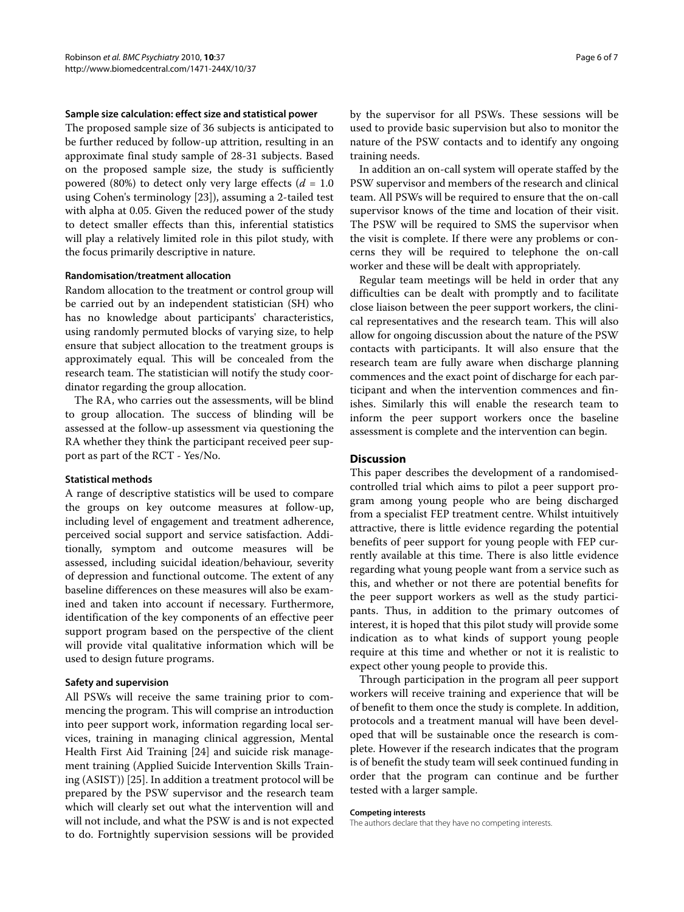## **Sample size calculation: effect size and statistical power**

The proposed sample size of 36 subjects is anticipated to be further reduced by follow-up attrition, resulting in an approximate final study sample of 28-31 subjects. Based on the proposed sample size, the study is sufficiently powered (80%) to detect only very large effects  $(d = 1.0$ using Cohen's terminology [23]), assuming a 2-tailed test with alpha at 0.05. Given the reduced power of the study to detect smaller effects than this, inferential statistics will play a relatively limited role in this pilot study, with the focus primarily descriptive in nature.

# **Randomisation/treatment allocation**

Random allocation to the treatment or control group will be carried out by an independent statistician (SH) who has no knowledge about participants' characteristics, using randomly permuted blocks of varying size, to help ensure that subject allocation to the treatment groups is approximately equal. This will be concealed from the research team. The statistician will notify the study coordinator regarding the group allocation.

The RA, who carries out the assessments, will be blind to group allocation. The success of blinding will be assessed at the follow-up assessment via questioning the RA whether they think the participant received peer support as part of the RCT - Yes/No.

#### **Statistical methods**

A range of descriptive statistics will be used to compare the groups on key outcome measures at follow-up, including level of engagement and treatment adherence, perceived social support and service satisfaction. Additionally, symptom and outcome measures will be assessed, including suicidal ideation/behaviour, severity of depression and functional outcome. The extent of any baseline differences on these measures will also be examined and taken into account if necessary. Furthermore, identification of the key components of an effective peer support program based on the perspective of the client will provide vital qualitative information which will be used to design future programs.

#### **Safety and supervision**

All PSWs will receive the same training prior to commencing the program. This will comprise an introduction into peer support work, information regarding local services, training in managing clinical aggression, Mental Health First Aid Training [24] and suicide risk management training (Applied Suicide Intervention Skills Training (ASIST)) [25]. In addition a treatment protocol will be prepared by the PSW supervisor and the research team which will clearly set out what the intervention will and will not include, and what the PSW is and is not expected to do. Fortnightly supervision sessions will be provided Page 6 of 7

by the supervisor for all PSWs. These sessions will be used to provide basic supervision but also to monitor the nature of the PSW contacts and to identify any ongoing training needs.

In addition an on-call system will operate staffed by the PSW supervisor and members of the research and clinical team. All PSWs will be required to ensure that the on-call supervisor knows of the time and location of their visit. The PSW will be required to SMS the supervisor when the visit is complete. If there were any problems or concerns they will be required to telephone the on-call worker and these will be dealt with appropriately.

Regular team meetings will be held in order that any difficulties can be dealt with promptly and to facilitate close liaison between the peer support workers, the clinical representatives and the research team. This will also allow for ongoing discussion about the nature of the PSW contacts with participants. It will also ensure that the research team are fully aware when discharge planning commences and the exact point of discharge for each participant and when the intervention commences and finishes. Similarly this will enable the research team to inform the peer support workers once the baseline assessment is complete and the intervention can begin.

## **Discussion**

This paper describes the development of a randomisedcontrolled trial which aims to pilot a peer support program among young people who are being discharged from a specialist FEP treatment centre. Whilst intuitively attractive, there is little evidence regarding the potential benefits of peer support for young people with FEP currently available at this time. There is also little evidence regarding what young people want from a service such as this, and whether or not there are potential benefits for the peer support workers as well as the study participants. Thus, in addition to the primary outcomes of interest, it is hoped that this pilot study will provide some indication as to what kinds of support young people require at this time and whether or not it is realistic to expect other young people to provide this.

Through participation in the program all peer support workers will receive training and experience that will be of benefit to them once the study is complete. In addition, protocols and a treatment manual will have been developed that will be sustainable once the research is complete. However if the research indicates that the program is of benefit the study team will seek continued funding in order that the program can continue and be further tested with a larger sample.

#### **Competing interests**

The authors declare that they have no competing interests.